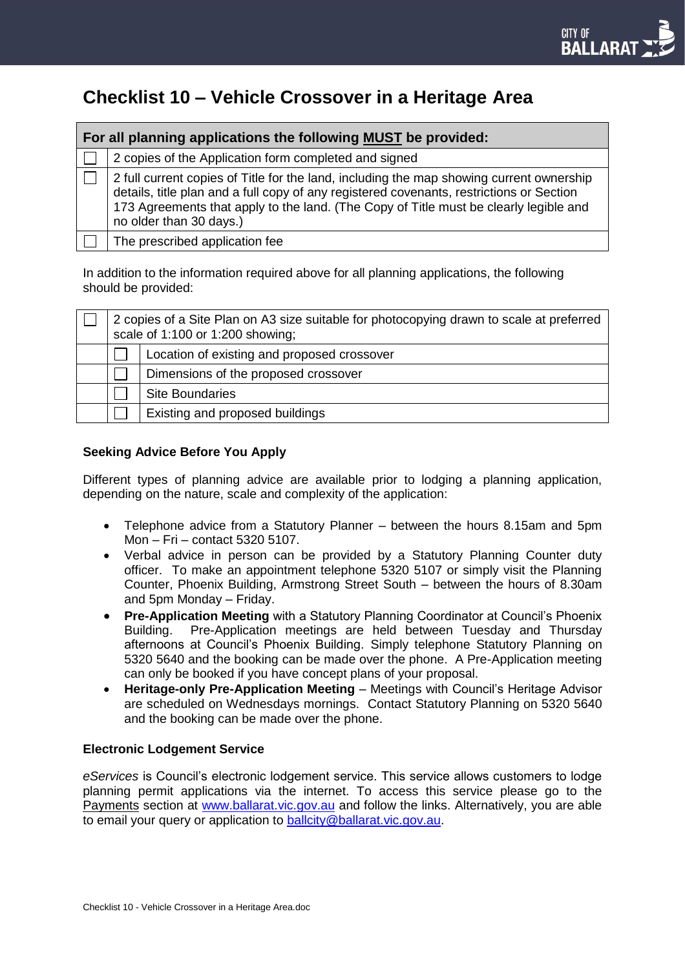# **Checklist 10 – Vehicle Crossover in a Heritage Area**

| For all planning applications the following MUST be provided: |                                                                                                                                                                                                                                                                                                          |  |  |
|---------------------------------------------------------------|----------------------------------------------------------------------------------------------------------------------------------------------------------------------------------------------------------------------------------------------------------------------------------------------------------|--|--|
|                                                               | 2 copies of the Application form completed and signed                                                                                                                                                                                                                                                    |  |  |
|                                                               | 2 full current copies of Title for the land, including the map showing current ownership<br>details, title plan and a full copy of any registered covenants, restrictions or Section<br>173 Agreements that apply to the land. (The Copy of Title must be clearly legible and<br>no older than 30 days.) |  |  |
|                                                               | The prescribed application fee                                                                                                                                                                                                                                                                           |  |  |

In addition to the information required above for all planning applications, the following should be provided:

| 2 copies of a Site Plan on A3 size suitable for photocopying drawn to scale at preferred<br>scale of 1:100 or 1:200 showing; |                                             |  |
|------------------------------------------------------------------------------------------------------------------------------|---------------------------------------------|--|
|                                                                                                                              | Location of existing and proposed crossover |  |
|                                                                                                                              | Dimensions of the proposed crossover        |  |
|                                                                                                                              | <b>Site Boundaries</b>                      |  |
|                                                                                                                              | Existing and proposed buildings             |  |

### **Seeking Advice Before You Apply**

Different types of planning advice are available prior to lodging a planning application, depending on the nature, scale and complexity of the application:

- Telephone advice from a Statutory Planner between the hours 8.15am and 5pm Mon – Fri – contact 5320 5107.
- Verbal advice in person can be provided by a Statutory Planning Counter duty officer. To make an appointment telephone 5320 5107 or simply visit the Planning Counter, Phoenix Building, Armstrong Street South – between the hours of 8.30am and 5pm Monday – Friday.
- **Pre-Application Meeting** with a Statutory Planning Coordinator at Council's Phoenix Building. Pre-Application meetings are held between Tuesday and Thursday afternoons at Council's Phoenix Building. Simply telephone Statutory Planning on 5320 5640 and the booking can be made over the phone. A Pre-Application meeting can only be booked if you have concept plans of your proposal.
- **Heritage-only Pre-Application Meeting**  Meetings with Council's Heritage Advisor are scheduled on Wednesdays mornings.Contact Statutory Planning on 5320 5640 and the booking can be made over the phone.

### **Electronic Lodgement Service**

*eServices* is Council's electronic lodgement service. This service allows customers to lodge planning permit applications via the internet. To access this service please go to the Payments section at [www.ballarat.vic.gov.au](http://www.ballarat.vic.gov.au/) and follow the links. Alternatively, you are able to email your query or application to [ballcity@ballarat.vic.gov.au.](mailto:ballcity@ballarat.vic.gov.au)